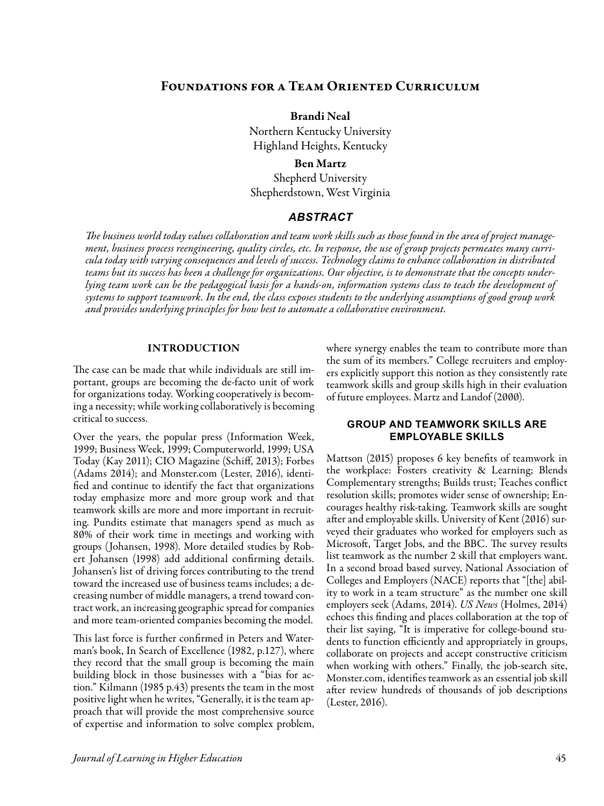# Foundations for a Team Oriented Curriculum

## Brandi Neal

Northern Kentucky University Highland Heights, Kentucky

Ben Martz Shepherd University Shepherdstown, West Virginia

# *ABSTRACT*

*The business world today values collaboration and team work skills such as those found in the area of project management, business process reengineering, quality circles, etc. In response, the use of group projects permeates many curricula today with varying consequences and levels of success. Technology claims to enhance collaboration in distributed teams but its success has been a challenge for organizations. Our objective, is to demonstrate that the concepts underlying team work can be the pedagogical basis for a hands-on, information systems class to teach the development of systems to support teamwork. In the end, the class exposes students to the underlying assumptions of good group work and provides underlying principles for how best to automate a collaborative environment.*

## INTRODUCTION

The case can be made that while individuals are still important, groups are becoming the de-facto unit of work for organizations today. Working cooperatively is becoming a necessity; while working collaboratively is becoming critical to success.

Over the years, the popular press (Information Week, 1999; Business Week, 1999; Computerworld, 1999; USA Today (Kay 2011); CIO Magazine (Schiff, 2013); Forbes (Adams 2014); and Monster.com (Lester, 2016), identified and continue to identify the fact that organizations today emphasize more and more group work and that teamwork skills are more and more important in recruiting. Pundits estimate that managers spend as much as 80% of their work time in meetings and working with groups (Johansen, 1998). More detailed studies by Robert Johansen (1998) add additional confirming details. Johansen's list of driving forces contributing to the trend toward the increased use of business teams includes; a decreasing number of middle managers, a trend toward contract work, an increasing geographic spread for companies and more team-oriented companies becoming the model.

This last force is further confirmed in Peters and Waterman's book, In Search of Excellence (1982, p.127), where they record that the small group is becoming the main building block in those businesses with a "bias for action." Kilmann (1985 p.43) presents the team in the most positive light when he writes, "Generally, it is the team approach that will provide the most comprehensive source of expertise and information to solve complex problem,

where synergy enables the team to contribute more than the sum of its members." College recruiters and employers explicitly support this notion as they consistently rate teamwork skills and group skills high in their evaluation of future employees. Martz and Landof (2000).

## **GROUP AND TEAMWORK SKILLS ARE EMPLOYABLE SKILLS**

Mattson (2015) proposes 6 key benefits of teamwork in the workplace: Fosters creativity & Learning; Blends Complementary strengths; Builds trust; Teaches conflict resolution skills; promotes wider sense of ownership; Encourages healthy risk-taking. Teamwork skills are sought after and employable skills. University of Kent (2016) surveyed their graduates who worked for employers such as Microsoft, Target Jobs, and the BBC. The survey results list teamwork as the number 2 skill that employers want. In a second broad based survey, National Association of Colleges and Employers (NACE) reports that "[the] ability to work in a team structure" as the number one skill employers seek (Adams, 2014). *US News* (Holmes, 2014) echoes this finding and places collaboration at the top of their list saying, "It is imperative for college-bound students to function efficiently and appropriately in groups, collaborate on projects and accept constructive criticism when working with others." Finally, the job-search site, Monster.com, identifies teamwork as an essential job skill after review hundreds of thousands of job descriptions (Lester, 2016).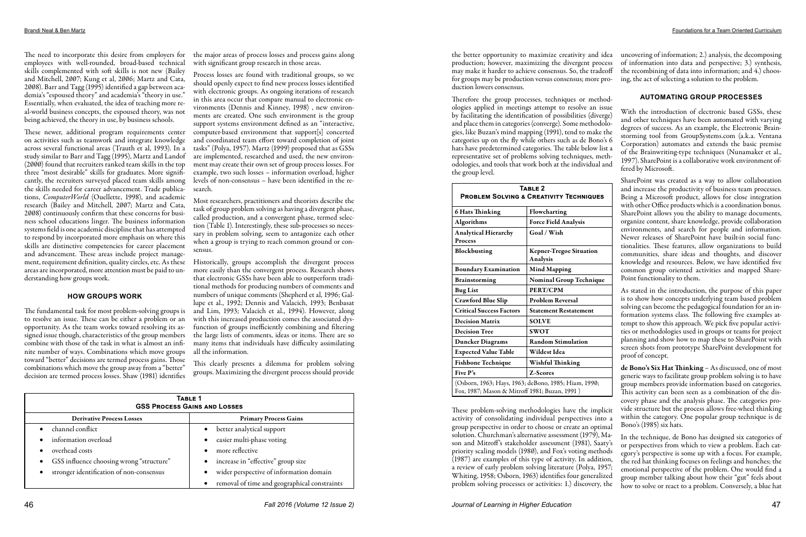The need to incorporate this desire from employers for employees with well-rounded, broad-based technical skills complemented with soft skills is not new (Bailey and Mitchell, 2007; Kung et al, 2006; Martz and Cata, 2008). Barr and Tagg (1995) identified a gap between academia's "espoused theory" and academia's "theory in use." Essentially, when evaluated, the idea of teaching more real-world business concepts, the espoused theory, was not being achieved, the theory in use, by business schools.

These newer, additional program requirements center on activities such as teamwork and integrate knowledge across several functional areas (Trauth et al, 1993). In a study similar to Barr and Tagg (1995), Martz and Landof (2000) found that recruiters ranked team skills in the top three "most desirable" skills for graduates. More significantly, the recruiters surveyed placed team skills among the skills needed for career advancement. Trade publications, *ComputerWorld* (Ouellette, 1998), and academic research (Bailey and Mitchell, 2007; Martz and Cata, 2008) continuously confirm that these concerns for business school educations linger. The business information systems field is one academic discipline that has attempted to respond by incorporated more emphasis on where this skills are distinctive competencies for career placement and advancement. These areas include project management, requirement definition, quality circles, etc. As these areas are incorporated, more attention must be paid to understanding how groups work.

# **HOW GROUPS WORK**

The fundamental task for most problem-solving groups is to resolve an issue. These can be either a problem or an opportunity. As the team works toward resolving its assigned issue though, characteristics of the group members combine with those of the task in what is almost an infinite number of ways. Combinations which move groups toward "better" decisions are termed process gains. Those combinations which move the group away from a "better" decision are termed process losses. Shaw (1981) identifies

the major areas of process losses and process gains along with significant group research in those areas.

Process losses are found with traditional groups, so we should openly expect to find new process losses identified with electronic groups. As ongoing iterations of research in this area occur that compare manual to electronic environments (Dennis and Kinney, 1998) , new environments are created. One such environment is the group support systems environment defined as an "interactive, computer-based environment that support[s] concerted and coordinated team effort toward completion of joint tasks" (Polya, 1957). Martz (1999) proposed that as GSSs are implemented, researched and used, the new environment may create their own set of group process losses. For example, two such losses – information overload, higher levels of non-consensus – have been identified in the research.

Most researchers, practitioners and theorists describe the task of group problem solving as having a divergent phase, called production, and a convergent phase, termed selection (Table 1). Interestingly, these sub-processes so necessary in problem solving, seem to antagonize each other when a group is trying to reach common ground or consensus.

Historically, groups accomplish the divergent process more easily than the convergent process. Research shows that electronic GSSs have been able to outperform traditional methods for producing numbers of comments and numbers of unique comments (Shepherd et al, 1996; Gallupe et al., 1992; Dennis and Valacich, 1993; Benbasat and Lim, 1993; Valacich et al., 1994). However, along with this increased production comes the associated dysfunction of groups inefficiently combining and filtering the large lists of comments, ideas or items. There are so many items that individuals have difficulty assimilating all the information.

This clearly presents a dilemma for problem solving groups. Maximizing the divergent process should provide

|                                                                                                       | TABLE <sub>2</sub>                         |  |  |
|-------------------------------------------------------------------------------------------------------|--------------------------------------------|--|--|
| <b>PROBLEM SOLVING &amp; CREATIVITY TECHNIQUES</b>                                                    |                                            |  |  |
| <b>6 Hats Thinking</b>                                                                                | Flowcharting                               |  |  |
| <b>Algorithms</b>                                                                                     | <b>Force Field Analysis</b>                |  |  |
| <b>Analytical Hierarchy</b><br><b>Process</b>                                                         | Goal / Wish                                |  |  |
| Blockbusting                                                                                          | <b>Kepner-Tregoe Situation</b><br>Analysis |  |  |
| <b>Boundary Examination</b>                                                                           | <b>Mind Mapping</b>                        |  |  |
| <b>Brainstorming</b>                                                                                  | <b>Nominal Group Technique</b>             |  |  |
| <b>Bug List</b>                                                                                       | PERT/CPM                                   |  |  |
| <b>Crawford Blue Slip</b>                                                                             | <b>Problem Reversal</b>                    |  |  |
| <b>Critical Success Factors</b>                                                                       | <b>Statement Restatement</b>               |  |  |
| <b>Decision Matrix</b>                                                                                | <b>SOLVE</b>                               |  |  |
| <b>Decision Tree</b>                                                                                  | <b>SWOT</b>                                |  |  |
| <b>Duncker Diagrams</b>                                                                               | <b>Random Stimulation</b>                  |  |  |
| <b>Expected Value Table</b>                                                                           | Wildest Idea                               |  |  |
| <b>Fishbone Technique</b>                                                                             | <b>Wishful Thinking</b>                    |  |  |
| Five P's                                                                                              | <b>Z-Scores</b>                            |  |  |
| (Osborn, 1963; Hays, 1963; deBono, 1985; Hiam, 1990;<br>Fox, 1987; Mason & Mitroff 1981; Buzan, 1991) |                                            |  |  |

the better opportunity to maximize creativity and idea production; however, maximizing the divergent process may make it harder to achieve consensus. So, the tradeoff for groups may be production versus consensus; more production lowers consensus. uncovering of information; 2.) analysis, the decomposing of information into data and perspective; 3.) synthesis, the recombining of data into information; and 4.) choosing, the act of selecting a solution to the problem.

Therefore the group processes, techniques or methodologies applied in meetings attempt to resolve an issue by facilitating the identification of possibilities (diverge) and place them in categories (converge). Some methodologies, like Buzan's mind mapping (1991), tend to make the categories up on the fly while others such as de Bono's 6 hats have predetermined categories. The table below list a representative set of problems solving techniques, methodologies, and tools that work both at the individual and the group level. With the introduction of electronic based GSSs, these and other techniques have been automated with varying degrees of success. As an example, the Electronic Brainstorming tool from GroupSystems.com (a.k.a. Ventana Corporation) automates and extends the basic premise of the Brainwriting-type techniques (Nunamaker et al., 1997). SharePoint is a collaborative work environment offered by Microsoft.

These problem-solving methodologies have the implicit activity of consolidating individual perspectives into a group perspective in order to choose or create an optimal solution. Churchman's alternative assessment (1979), Mason and Mitroff's stakeholder assessment (1981), Saaty's priority scaling models (1980), and Fox's voting methods (1987) are examples of this type of activity. In addition, a review of early problem solving literature (Polya, 1957; Whiting, 1958; Osborn, 1963) identifies four generalized problem solving processes or activities: 1.) discovery, the

# **AUTOMATING GROUP PROCESSES**

SharePoint was created as a way to allow collaboration and increase the productivity of business team processes. Being a Microsoft product, allows for close integration with other Office products which is a coordination bonus. SharePoint allows you the ability to manage documents, organize content, share knowledge, provide collaboration environments, and search for people and information. Newer releases of SharePoint have built-in social functionalities. These features, allow organizations to build communities, share ideas and thoughts, and discover knowledge and resources. Below, we have identified five common group oriented activities and mapped Share-Point functionality to them.

As stated in the introduction, the purpose of this paper is to show how concepts underlying team based problem solving can become the pedagogical foundation for an information systems class. The following five examples attempt to show this approach. We pick five popular activities or methodologies used in groups or teams for project planning and show how to map these to SharePoint with screen shots from prototype SharePoint development for proof of concept.

de Bono's Six Hat Thinking – As discussed, one of most generic ways to facilitate group problem solving is to have group members provide information based on categories. This activity can been seen as a combination of the discovery phase and the analysis phase. The categories provide structure but the process allows free-wheel thinking within the category. One popular group technique is de Bono's (1985) six hats.

In the technique, de Bono has designed six categories of or perspectives from which to view a problem. Each category's perspective is some up with a focus. For example, the red hat thinking focuses on feelings and hunches; the emotional perspective of the problem. One would find a group member talking about how their "gut" feels about how to solve or react to a problem. Conversely, a blue hat

| TABLE 1<br><b>GSS PROCESS GAINS AND LOSSES</b>        |                                              |  |  |  |
|-------------------------------------------------------|----------------------------------------------|--|--|--|
| <b>Derivative Process Losses</b>                      | <b>Primary Process Gains</b>                 |  |  |  |
| channel conflict                                      | better analytical support                    |  |  |  |
| information overload                                  | • easier multi-phase voting                  |  |  |  |
| overhead costs                                        | more reflective                              |  |  |  |
| GSS influence choosing wrong "structure"<br>$\bullet$ | increase in "effective" group size           |  |  |  |
| stronger identification of non-consensus              | wider perspective of information domain      |  |  |  |
|                                                       | removal of time and geographical constraints |  |  |  |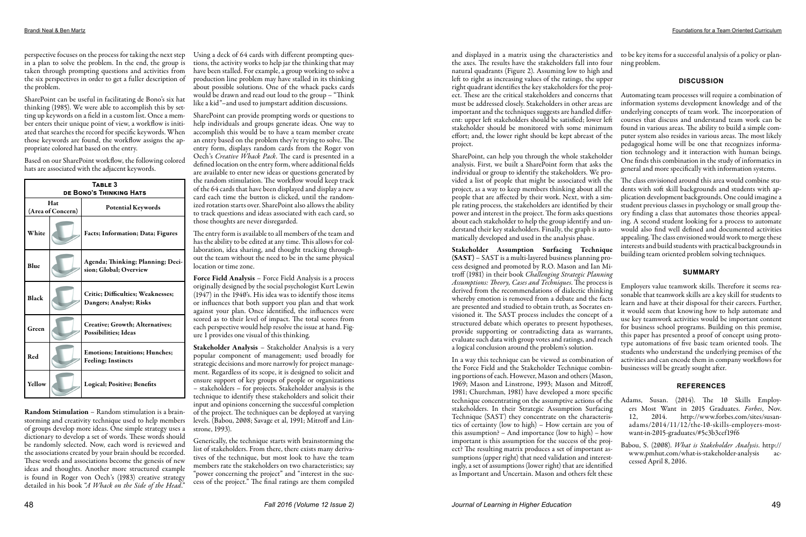perspective focuses on the process for taking the next step in a plan to solve the problem. In the end, the group is taken through prompting questions and activities from the six perspectives in order to get a fuller description of the problem.

SharePoint can be useful in facilitating de Bono's six hat thinking (1985). We were able to accomplish this by setting up keywords on a field in a custom list. Once a member enters their unique point of view, a workflow is initiated that searches the record for specific keywords. When those keywords are found, the workflow assigns the appropriate colored hat based on the entry.

Based on our SharePoint workflow, the following colored hats are associated with the adjacent keywords.

| TABLE 3<br>DE BONO'S THINKING HATS |  |                                                                        |  |
|------------------------------------|--|------------------------------------------------------------------------|--|
| Hat<br>(Area of Concern)           |  | <b>Potential Keywords</b>                                              |  |
| White                              |  | Facts; Information; Data; Figures                                      |  |
| Blue                               |  | Agenda; Thinking; Planning; Deci-<br>sion; Global; Overview            |  |
| <b>Black</b>                       |  | <b>Critic; Difficulties; Weaknesses;</b><br>Dangers; Analyst; Risks    |  |
| Green                              |  | <b>Creative: Growth: Alternatives:</b><br><b>Possibilities</b> ; Ideas |  |
| Red                                |  | <b>Emotions: Intuitions: Hunches:</b><br><b>Feeling</b> ; Instincts    |  |
| Yellow                             |  | Logical; Positive; Benefits                                            |  |

Random Stimulation – Random stimulation is a brainstorming and creativity technique used to help members of groups develop more ideas. One simple strategy uses a dictionary to develop a set of words. These words should be randomly selected. Now, each word is reviewed and the associations created by your brain should be recorded. These words and associations become the genesis of new ideas and thoughts. Another more structured example is found in Roger von Oech's (1983) creative strategy detailed in his book "*A Whack on the Side of the Head*."

Using a deck of 64 cards with different prompting questions, the activity works to help jar the thinking that may have been stalled. For example, a group working to solve a production line problem may have stalled in its thinking about possible solutions. One of the whack packs cards would be drawn and read out loud to the group – "Think like a kid"–and used to jumpstart addition discussions.

SharePoint can provide prompting words or questions to help individuals and groups generate ideas. One way to accomplish this would be to have a team member create an entry based on the problem they're trying to solve. The entry form, displays random cards from the Roger von Oech's *Creative Whack Pack*. The card is presented in a defined location on the entry form, where additional fields are available to enter new ideas or questions generated by the random stimulation. The workflow would keep track of the 64 cards that have been displayed and display a new card each time the button is clicked, until the randomized rotation starts over. SharePoint also allows the ability to track questions and ideas associated with each card, so those thoughts are never disregarded.

The entry form is available to all members of the team and has the ability to be edited at any time. This allows for collaboration, idea sharing, and thought tracking throughout the team without the need to be in the same physical location or time zone.

Force Field Analysis – Force Field Analysis is a process originally designed by the social psychologist Kurt Lewin (1947) in the 1940's. His idea was to identify those items or influences that both support you plan and that work against your plan. Once identified, the influences were scored as to their level of impact. The total scores from each perspective would help resolve the issue at hand. Figure 1 provides one visual of this thinking.

Stakeholder Analysis – Stakeholder Analysis is a very popular component of management; used broadly for strategic decisions and more narrowly for project management. Regardless of its scope, it is designed to solicit and ensure support of key groups of people or organizations – stakeholders – for projects. Stakeholder analysis is the technique to identify these stakeholders and solicit their input and opinions concerning the successful completion of the project. The techniques can be deployed at varying levels. (Babou, 2008; Savage et al, 1991; Mitroff and Linstrone, 1993).

Generically, the technique starts with brainstorming the list of stakeholders. From there, there exists many derivatives of the technique, but most look to have the team members rate the stakeholders on two characteristics; say "power concerning the project" and "interest in the success of the project." The final ratings are them compiled individual or group to identify the stakeholders. We provided a list of people that might be associated with the project, as a way to keep members thinking about all the people that are affected by their work. Next, with a simple rating process, the stakeholders are identified by their power and interest in the project. The form asks questions about each stakeholder to help the group identify and understand their key stakeholders. Finally, the graph is automatically developed and used in the analysis phase.

Stakeholder Assumption Surfacing Technique (SAST) – SAST is a multi-layered business planning process designed and promoted by R.O. Mason and Ian Mitroff (1981) in their book *Challenging Strategic Planning Assumptions: Theory, Cases and Techniques*. The process is derived from the recommendations of dialectic thinking whereby emotion is removed from a debate and the facts are presented and studied to obtain truth, as Socrates envisioned it. The SAST process includes the concept of a structured debate which operates to present hypotheses, provide supporting or contradicting data as warrants, evaluate such data with group votes and ratings, and reach a logical conclusion around the problem's solution.

and displayed in a matrix using the characteristics and to be key items for a successful analysis of a policy or planthe axes. The results have the stakeholders fall into four natural quadrants (Figure 2). Assuming low to high and left to right as increasing values of the ratings, the upper right quadrant identifies the key stakeholders for the project. These are the critical stakeholders and concerns that must be addressed closely. Stakeholders in other areas are important and the techniques suggests are handled different: upper left stakeholders should be satisfied; lower left stakeholder should be monitored with some minimum effort; and, the lower right should be kept abreast of the project. SharePoint, can help you through the whole stakeholder analysis. First, we built a SharePoint form that asks the ning problem. **DISCUSSION** Automating team processes will require a combination of information systems development knowledge and of the underlying concepts of team work. The incorporation of courses that discuss and understand team work can be found in various areas. The ability to build a simple computer system also resides in various areas. The most likely pedagogical home will be one that recognizes information technology and it interaction with human beings. One finds this combination in the study of informatics in general and more specifically with information systems.

In a way this technique can be viewed as combination of the Force Field and the Stakeholder Technique combining portions of each. However, Mason and others (Mason, 1969; Mason and Linstrone, 1993; Mason and Mitroff, 1981; Churchman, 1981) have developed a more specific technique concentrating on the assumptive actions of the stakeholders. In their Strategic Assumption Surfacing Technique (SAST) they concentrate on the characteristics of certainty (low to high) – How certain are you of this assumption? – And importance (low to high) – how important is this assumption for the success of the project? The resulting matrix produces a set of important assumptions (upper right) that need validation and interestingly, a set of assumptions (lower right) that are identified as Important and Uncertain. Mason and others felt these businesses will be greatly sought after. **REFERENCES** Adams, Susan. (2014). The 10 Skills Employwant-in-2015-graduates/#5c3b3cef19f6 Babou, S. (2008). *What is Stakeholder Analysis*. [http://](http://www.pmhut.com/what-is-stakeholder-analysis) [www.pmhut.com/what-is-stakeholder-analysis](http://www.pmhut.com/what-is-stakeholder-analysis) accessed April 8, 2016.

The class envisioned around this area would combine students with soft skill backgrounds and students with application development backgrounds. One could imagine a student previous classes in psychology or small group theory finding a class that automates those theories appealing. A second student looking for a process to automate would also find well defined and documented activities appealing. The class envisioned would work to merge these interests and build students with practical backgrounds in building team oriented problem solving techniques.

# **SUMMARY**

Employers value teamwork skills. Therefore it seems reasonable that teamwork skills are a key skill for students to learn and have at their disposal for their careers. Further, it would seem that knowing how to help automate and use key teamwork activities would be important content for business school programs. Building on this premise, this paper has presented a proof of concept using prototype automations of five basic team oriented tools. The students who understand the underlying premises of the activities and can encode them in company workflows for

ers Most Want in 2015 Graduates. *Forbes*, Nov. 12, 2014. http://www.forbes.com/sites/susanadams/2014/11/12/the-10-skills-employers-most-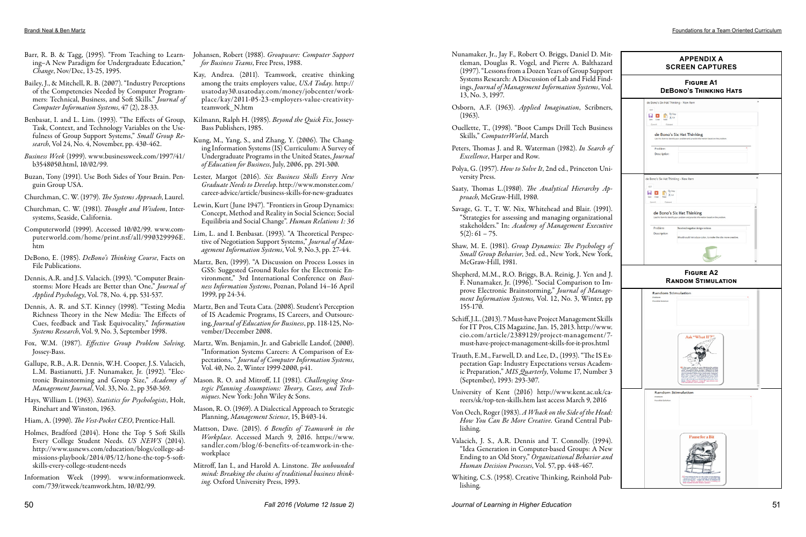- Barr, R. B. & Tagg, (1995). "From Teaching to Learn ing–A New Paradigm for Undergraduate Education," *Change*, Nov/Dec, 13-25, 1995.
- Bailey, J., & Mitchell, R. B. (2007). "Industry Perceptions of the Competencies Needed by Computer Program mers: Technical, Business, and Soft Skills." *Journal of Computer Information Systems*, 47 (2), 28-33.
- Benbasat, I. and L. Lim. (1993). "The Effects of Group, Task, Context, and Technology Variables on the Use fulness of Group Support Systems," *Small Group Re search*, Vol 24, No. 4, November, pp. 430-462.
- *Business Week* (1999). www.businessweek.com/1997/41/ b3548050.html, 10/02/99.
- Buzan, Tony (1991). Use Both Sides of Your Brain. Pen guin Group USA.
- Churchman, C. W. (1979). *The Systems Approach*, Laurel.
- Churchman, C. W. (1981). *Thought and Wisdom*, Intersystems, Seaside, California.
- Computerworld (1999). Accessed 10/02/99. www.com puterworld.com/home/print.nsf/all/990329996E. htm
- DeBono, E. (1985). *DeBono's Thinking Course*, Facts on File Publications.
- Dennis, A.R. and J.S. Valacich. (1993). "Computer Brain storms: More Heads are Better than One," *Journal of Applied Psychology*, Vol. 78, No. 4, pp. 531-537.
- Dennis, A. R. and S.T. Kinney (1998). "Testing Media Richness Theory in the New Media: The Effects of Cues, feedback and Task Equivocality," *Information Systems Research*, Vol. 9, No. 3, September 1998.
- Fox, W.M. (1987). *Effective Group Problem Solving*, Jossey-Bass.
- Gallupe, R.B., A.R. Dennis, W.H. Cooper, J.S. Valacich, L.M. Bastianutti, J.F. Nunamaker, Jr. (1992). "Elec tronic Brainstorming and Group Size," *Academy of Management Journal*, Vol. 33, No. 2, pp 350-369.
- Hays, William L (1963). *Statistics for Psychologists*, Holt, Rinehart and Winston, 1963.
- Hiam, A. (1990). *The Vest-Pocket CEO*, Prentice-Hall.
- Holmes, Bradford (2014). Hone the Top 5 Soft Skills Every College Student Needs. *US NEWS* (2014). [http://www.usnews.com/education/blogs/college-ad](http://www.usnews.com/education/blogs/college-admissions-playbook/2014/05/12/hone-the-top-5-soft-skills-every-college-student-needs) [missions-playbook/2014/05/12/hone-the-top-5-soft](http://www.usnews.com/education/blogs/college-admissions-playbook/2014/05/12/hone-the-top-5-soft-skills-every-college-student-needs)[skills-every-college-student-needs](http://www.usnews.com/education/blogs/college-admissions-playbook/2014/05/12/hone-the-top-5-soft-skills-every-college-student-needs)
- Information Week (1999). www.informationweek. com/739/itweek/teamwork.htm, 10/02/99.
- Johansen, Robert (1988). *Groupware: Computer Support for Business Teams*, Free Press, 1988.
- Kay, Andrea. (2011). Teamwork, creative thinking among the traits employers value, *USA Today*. http:// usatoday30.usatoday.com/money/jobcenter/work place/kay/2011-05-23-employers-value-creativityteamwork\_N.htm
- Kilmann, Ralph H. (1985). *Beyond the Quick Fix*, Jossey-Bass Publishers, 1985.
- Kung, M., Yang, S., and Zhang, Y. (2006). The Changing Information Systems (IS) Curriculum: A Survey of Undergraduate Programs in the United States, *Journal of Education for Business*, July, 2006, pp. 291-300.
- Lester, Margot (2016). *Six Business Skills Every New Graduate Needs to Develop*. [http://www.monster.com/](http://www.monster.com/career-advice/article/business-skills-for-new-graduates) [career-advice/article/business-skills-for-new-graduates](http://www.monster.com/career-advice/article/business-skills-for-new-graduates)
- Lewin, Kurt (June 1947)*.* ["Frontiers in Group Dynamics:](http://hum.sagepub.com/content/1/1/5.full.pdf+html)  [Concept, Method and Reality in Social Science; Social](http://hum.sagepub.com/content/1/1/5.full.pdf+html)  [Equilibria and Social Change"](http://hum.sagepub.com/content/1/1/5.full.pdf+html)*. Human Relations 1: 36*
- Lim, L. and I. Benbasat. (1993). "A Theoretical Perspec tive of Negotiation Support Systems," *Journal of Man agement Information Systems*, Vol. 9, No.3, pp. 27-44.
- Martz, Ben, (1999). "A Discussion on Process Losses in GSS: Suggested Ground Rules for the Electronic En vironment," 3rd International Conference on *Busi ness Information Systems*, Poznan, Poland 14–16 April 1999, pp 24-34.
- Martz, Ben and Teuta Cata. (2008). Student's Perception of IS Academic Programs, IS Careers, and Outsourc ing, *Journal of Education for Business*, pp. 118-125, No vember/December 2008.
- Martz, Wm. Benjamin, Jr. and Gabrielle Landof, (2000). "Information Systems Careers: A Comparison of Expectations, " *Journal of Computer Information Systems*, Vol. 40, No. 2, Winter 1999-2000, p41.
- Mason. R. O. and Mitroff, I.I (1981). *Challenging Stra tegic Planning Assumptions: Theory, Cases, and Tech niques*. New York: John Wiley & Sons.
- Mason, R. O. (1969). A Dialectical Approach to Strategic Planning, *Management Science*, 15, B403-14.
- Mattson, Dave. (2015). *6 Benefits of Teamwork in the Workplace*. Accessed March 9, 2016. https://www. sandler.com/blog/6-benefits-of-teamwork-in-theworkplace
- Mitroff, Ian I., and [Harold A. Linstone.](https://en.wikipedia.org/wiki/Harold_A._Linstone) *The unbounded mind: Breaking the chains of traditional business think ing.* Oxford University Press, 1993.
- Nunamaker, Jr., Jay F., Robert O. Briggs, Daniel D. Mittleman, Douglas R. Vogel, and Pierre A. Balthazard (1997). "Lessons from a Dozen Years of Group Support Systems Research: A Discussion of Lab and Field Find ings, *Journal of Management Information Systems*, Vol. 13, No. 3, 1997.
- Osborn, A.F. (1963). *Applied Imagination*, Scribners, (1963).
- Ouellette, T., (1998). "Boot Camps Drill Tech Business Skills," *ComputerWorld*, March
- Peters, Thomas J. and R. Waterman (1982). *In Search of Excellence*, Harper and Row.
- Polya, G. (1957). *How to Solve It*, 2nd ed., Princeton Uni versity Press.
- Saaty, Thomas L.(1980). *The Analytical Hierarchy Ap proach*, McGraw-Hill, 1980.
- Savage, G. T., T. W. Nix, Whitehead and Blair. (1991). "Strategies for assessing and managing organizational stakeholders." In: *Academy of Management Executive*   $5(2): 61 - 75.$
- Shaw, M. E. (1981). *Group Dynamics: The Psychology of Small Group Behavior*, 3rd. ed., New York, New York, McGraw-Hill, 1981.
- Shepherd, M.M., R.O. Briggs, B.A. Reinig, J. Yen and J. F. Nunamaker, Jr. (1996). "Social Comparison to Im prove Electronic Brainstorming," *Journal of Manage ment Information Systems,* Vol. 12, No. 3, Winter, pp 155-170.
- Schiff, J.L. (2013). 7 Must-have Project Management Skills for IT Pros, CIS Magazine, Jan. 15, 2013. http://www. cio.com/article/2389129/project-management/7 must-have-project-management-skills-for-it-pros.html
- Trauth, E.M., Farwell, D. and Lee, D., (1993). "The IS Expectation Gap: Industry Expectations versus Academic Preparation," *MIS Quarterly*, Volume 17, Number 3 (September), 1993: 293-307.
- University of Kent (2016) [http://www.kent.ac.uk/ca](http://www.kent.ac.uk/careers/sk/top-ten-skills.htm) [reers/sk/top-ten-skills.htm](http://www.kent.ac.uk/careers/sk/top-ten-skills.htm) last access March 9, 2016
- Von Oech, Roger (1983). *A Whack on the Side of the Head: How You Can Be More Creative.* Grand Central Pub lishing.
- Valacich, J. S., A.R. Dennis and T. Connolly. (1994). "Idea Generation in Computer-based Groups: A New Ending to an Old Story," *Organizational Behavior and Human Decision Processes*, Vol. 57, pp. 448-467.
- Whiting, C.S. (1958). Creative Thinking, Reinhold Pub lishing.

| <b>APPENDIX A</b><br><b>SCREEN CAPTURES</b>                                                                                                      |
|--------------------------------------------------------------------------------------------------------------------------------------------------|
| <b>FIGURE A1</b><br><b>DEBONO'S THINKING HATS</b>                                                                                                |
| ×<br>de Bono's Six Hat Thinking - New Item                                                                                                       |
| <b>BDST</b><br>$\begin{array}{ccc}\n\Box & \boxtimes & \bigcap\limits_{\alpha\in\Delta}\mathbb{R}^{n\times n}\n\end{array}$<br>Save Cose<br>Pack |
| de Bono's Six Hat Thinking<br>Use this form to identify your problem and provide information based on the problem.                               |
| Problem<br>Description                                                                                                                           |
| $\times$<br>de Bono's Six Hat Thinking - New Item<br>EDIT                                                                                        |
| <b>Fig Copy</b><br><b>HE</b><br>Seve Occe Paste                                                                                                  |
| de Bono's Six Hat Thinking<br>Use this form to identify your problem and provide information based on the problem.                               |
| Problem<br>Received negative design reviews<br>Description<br>Would could introduce color, to make the site more creative.                       |
|                                                                                                                                                  |
| <b>FIGURE A2</b><br><b>RANDOM STIMULATION</b>                                                                                                    |
| <b>Random Stimulation</b><br>Problem                                                                                                             |
| Pussible Solution                                                                                                                                |
|                                                                                                                                                  |
| Ask "What If?"                                                                                                                                   |
|                                                                                                                                                  |
| <b>Random Stimulation</b><br>Problem                                                                                                             |
| Passible Solution                                                                                                                                |